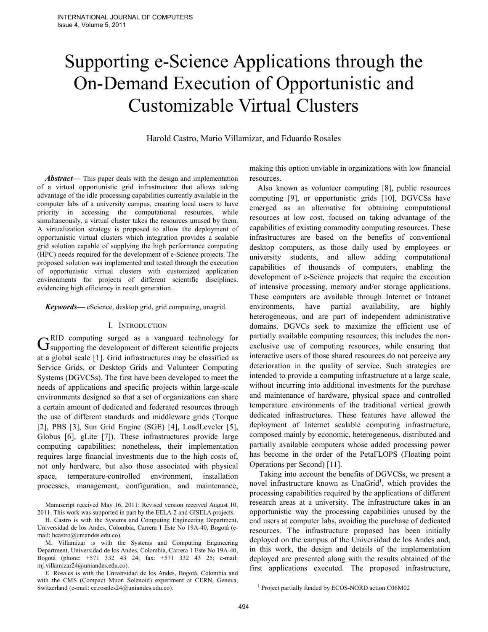# Supporting e-Science Applications through the On-Demand Execution of Opportunistic and Customizable Virtual Clusters

Harold Castro, Mario Villamizar, and Eduardo Rosales

*Abstract***—** This paper deals with the design and implementation of a virtual opportunistic grid infrastructure that allows taking advantage of the idle processing capabilities currently available in the computer labs of a university campus, ensuring local users to have priority in accessing the computational resources, while simultaneously, a virtual cluster takes the resources unused by them. A virtualization strategy is proposed to allow the deployment of opportunistic virtual clusters which integration provides a scalable grid solution capable of supplying the high performance computing (HPC) needs required for the development of e-Science projects. The proposed solution was implemented and tested through the execution of opportunistic virtual clusters with customized application environments for projects of different scientific disciplines, evidencing high efficiency in result generation.

*Keywords***—** eScience, desktop grid, grid computing, unagrid.

## I. INTRODUCTION

RID computing surged as a vanguard technology for  $G<sub>supporting</sub>$  surged as a vanguard technology for Supporting the development of different scientific projects at a global scale [1]. Grid infrastructures may be classified as Service Grids, or Desktop Grids and Volunteer Computing Systems (DGVCSs). The first have been developed to meet the needs of applications and specific projects within large-scale environments designed so that a set of organizations can share a certain amount of dedicated and federated resources through the use of different standards and middleware grids (Torque [2], PBS [3], Sun Grid Engine (SGE) [4], LoadLeveler [5], Globus [6], gLite [7]). These infrastructures provide large computing capabilities; nonetheless, their implementation requires large financial investments due to the high costs of, not only hardware, but also those associated with physical space, temperature-controlled environment, installation processes, management, configuration, and maintenance,

Manuscript received May 16, 2011: Revised version received August 10, 2011. This work was supported in part by the EELA-2 and GISELA projects.

H. Castro is with the Systems and Computing Engineering Department, Universidad de los Andes, Colombia, Carrera 1 Este No 19A-40, Bogotá (email: hcastro@uniandes.edu.co).

M. Villamizar is with the Systems and Computing Engineering Department, Universidad de los Andes, Colombia, Carrera 1 Este No 19A-40, Bogotá (phone: +571 332 43 24; fax: +571 332 43 25; e-mail: mj.villamizar24@uniandes.edu.co).

E. Rosales is with the Universidad de los Andes, Bogotá, Colombia and with the CMS (Compact Muon Solenoid) experiment at CERN, Geneva, Switzerland (e-mail: ee.rosales24@uniandes.edu.co).

making this option unviable in organizations with low financial resources.

Also known as volunteer computing [8], public resources computing [9], or opportunistic grids [10], DGVCSs have emerged as an alternative for obtaining computational resources at low cost, focused on taking advantage of the capabilities of existing commodity computing resources. These infrastructures are based on the benefits of conventional desktop computers, as those daily used by employees or university students, and allow adding computational capabilities of thousands of computers, enabling the development of e-Science projects that require the execution of intensive processing, memory and/or storage applications. These computers are available through Internet or Intranet environments, have partial availability, are highly heterogeneous, and are part of independent administrative domains. DGVCs seek to maximize the efficient use of partially available computing resources; this includes the nonexclusive use of computing resources, while ensuring that interactive users of those shared resources do not perceive any deterioration in the quality of service. Such strategies are intended to provide a computing infrastructure at a large scale, without incurring into additional investments for the purchase and maintenance of hardware, physical space and controlled temperature environments of the traditional vertical growth dedicated infrastructures. These features have allowed the deployment of Internet scalable computing infrastructure, composed mainly by economic, heterogeneous, distributed and partially available computers whose added processing power has become in the order of the PetaFLOPS (Floating point Operations per Second) [11].

Taking into account the benefits of DGVCSs, we present a novel infrastructure known as UnaGrid<sup>1</sup>, which provides the processing capabilities required by the applications of different research areas at a university. The infrastructure takes in an opportunistic way the processing capabilities unused by the end users at computer labs, avoiding the purchase of dedicated resources. The infrastructure proposed has been initially deployed on the campus of the Universidad de los Andes and, in this work, the design and details of the implementation deployed are presented along with the results obtained of the first applications executed. The proposed infrastructure,

<sup>&</sup>lt;sup>1</sup> Project partially funded by ECOS-NORD action C06M02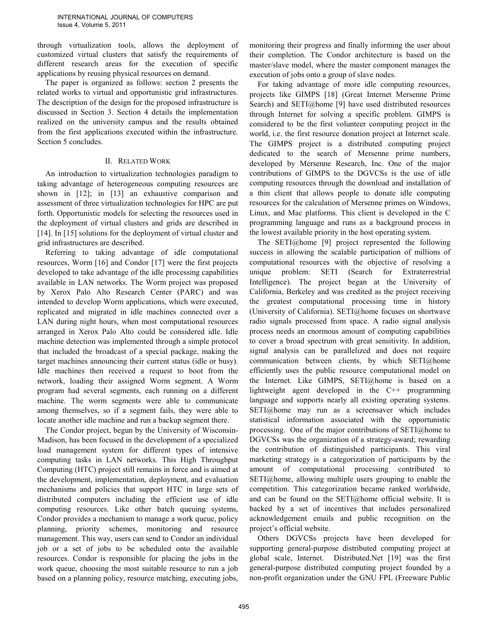through virtualization tools, allows the deployment of customized virtual clusters that satisfy the requirements of different research areas for the execution of specific applications by reusing physical resources on demand.

The paper is organized as follows: section 2 presents the related works to virtual and opportunistic grid infrastructures. The description of the design for the proposed infrastructure is discussed in Section 3. Section 4 details the implementation realized on the university campus and the results obtained from the first applications executed within the infrastructure. Section 5 concludes.

## II. RELATED WORK

An introduction to virtualization technologies paradigm to taking advantage of heterogeneous computing resources are shown in [12]; in [13] an exhaustive comparison and assessment of three virtualization technologies for HPC are put forth. Opportunistic models for selecting the resources used in the deployment of virtual clusters and grids are described in [14]. In [15] solutions for the deployment of virtual cluster and grid infrastructures are described.

Referring to taking advantage of idle computational resources, Worm [16] and Condor [17] were the first projects developed to take advantage of the idle processing capabilities available in LAN networks. The Worm project was proposed by Xerox Palo Alto Research Center (PARC) and was intended to develop Worm applications, which were executed, replicated and migrated in idle machines connected over a LAN during night hours, when most computational resources arranged in Xerox Palo Alto could be considered idle. Idle machine detection was implemented through a simple protocol that included the broadcast of a special package, making the target machines announcing their current status (idle or busy). Idle machines then received a request to boot from the network, loading their assigned Worm segment. A Worm program had several segments, each running on a different machine. The worm segments were able to communicate among themselves, so if a segment fails, they were able to locate another idle machine and run a backup segment there.

The Condor project, begun by the University of Wisconsin-Madison, has been focused in the development of a specialized load management system for different types of intensive computing tasks in LAN networks. This High Throughput Computing (HTC) project still remains in force and is aimed at the development, implementation, deployment, and evaluation mechanisms and policies that support HTC in large sets of distributed computers including the efficient use of idle computing resources. Like other batch queuing systems, Condor provides a mechanism to manage a work queue, policy planning, priority schemes, monitoring and resource management. This way, users can send to Condor an individual job or a set of jobs to be scheduled onto the available resources. Condor is responsible for placing the jobs in the work queue, choosing the most suitable resource to run a job based on a planning policy, resource matching, executing jobs,

monitoring their progress and finally informing the user about their completion. The Condor architecture is based on the master/slave model, where the master component manages the execution of jobs onto a group of slave nodes.

For taking advantage of more idle computing resources, projects like GIMPS [18] (Great Internet Mersenne Prime Search) and SETI@home [9] have used distributed resources through Internet for solving a specific problem. GIMPS is considered to be the first volunteer computing project in the world, i.e. the first resource donation project at Internet scale. The GIMPS project is a distributed computing project dedicated to the search of Mersenne prime numbers, developed by Mersenne Research, Inc. One of the major contributions of GIMPS to the DGVCSs is the use of idle computing resources through the download and installation of a thin client that allows people to donate idle computing resources for the calculation of Mersenne primes on Windows, Linux, and Mac platforms. This client is developed in the C programming language and runs as a background process in the lowest available priority in the host operating system.

The SETI@home [9] project represented the following success in allowing the scalable participation of millions of computational resources with the objective of resolving a unique problem: SETI (Search for Extraterrestrial Intelligence). The project began at the University of California, Berkeley and was credited as the project receiving the greatest computational processing time in history (University of California). SETI@home focuses on shortwave radio signals processed from space. A radio signal analysis process needs an enormous amount of computing capabilities to cover a broad spectrum with great sensitivity. In addition, signal analysis can be parallelized and does not require communication between clients, by which SETI@home efficiently uses the public resource computational model on the Internet. Like GIMPS, SETI@home is based on a lightweight agent developed in the C++ programming language and supports nearly all existing operating systems. SETI@home may run as a screensaver which includes statistical information associated with the opportunistic processing. One of the major contributions of SETI@home to DGVCSs was the organization of a strategy-award; rewarding the contribution of distinguished participants. This viral marketing strategy is a categorization of participants by the amount of computational processing contributed to SETI@home, allowing multiple users grouping to enable the competition. This categorization became ranked worldwide, and can be found on the SETI@home official website. It is backed by a set of incentives that includes personalized acknowledgement emails and public recognition on the project's official website.

Others DGVCSs projects have been developed for supporting general-purpose distributed computing project at global scale, Internet. Distributed.Net [19] was the first general-purpose distributed computing project founded by a non-profit organization under the GNU FPL (Freeware Public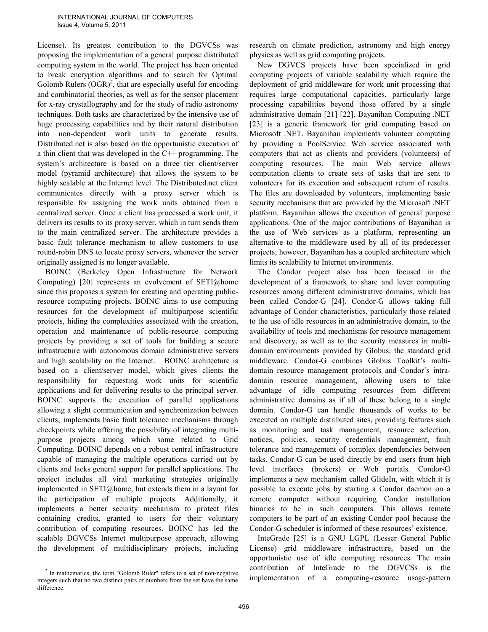License). Its greatest contribution to the DGVCSs was proposing the implementation of a general purpose distributed computing system in the world. The project has been oriented to break encryption algorithms and to search for Optimal Golomb Rulers  $(OGR)^2$ , that are especially useful for encoding and combinatorial theories, as well as for the sensor placement for x-ray crystallography and for the study of radio astronomy techniques. Both tasks are characterized by the intensive use of huge processing capabilities and by their natural distribution into non-dependent work units to generate results. Distributed.net is also based on the opportunistic execution of a thin client that was developed in the C++ programming. The system's architecture is based on a three tier client/server model (pyramid architecture) that allows the system to be highly scalable at the Internet level. The Distributed.net client communicates directly with a proxy server which is responsible for assigning the work units obtained from a centralized server. Once a client has processed a work unit, it delivers its results to its proxy server, which in turn sends them to the main centralized server. The architecture provides a basic fault tolerance mechanism to allow customers to use round-robin DNS to locate proxy servers, whenever the server originally assigned is no longer available.

BOINC (Berkeley Open Infrastructure for Network Computing) [20] represents an evolvement of SETI@home since this proposes a system for creating and operating publicresource computing projects. BOINC aims to use computing resources for the development of multipurpose scientific projects, hiding the complexities associated with the creation, operation and maintenance of public-resource computing projects by providing a set of tools for building a secure infrastructure with autonomous domain administrative servers and high scalability on the Internet. BOINC architecture is based on a client/server model, which gives clients the responsibility for requesting work units for scientific applications and for delivering results to the principal server. BOINC supports the execution of parallel applications allowing a slight communication and synchronization between clients; implements basic fault tolerance mechanisms through checkpoints while offering the possibility of integrating multipurpose projects among which some related to Grid Computing. BOINC depends on a robust central infrastructure capable of managing the multiple operations carried out by clients and lacks general support for parallel applications. The project includes all viral marketing strategies originally implemented in SETI@home, but extends them in a layout for the participation of multiple projects. Additionally, it implements a better security mechanism to protect files containing credits, granted to users for their voluntary contribution of computing resources. BOINC has led the scalable DGVCSs Internet multipurpose approach, allowing the development of multidisciplinary projects, including

 $2$  In mathematics, the term "Golomb Ruler" refers to a set of non-negative integers such that no two distinct pairs of numbers from the set have the same difference.

research on climate prediction, astronomy and high energy physics as well as grid computing projects.

New DGVCS projects have been specialized in grid computing projects of variable scalability which require the deployment of grid middleware for work unit processing that requires large computational capacities, particularly large processing capabilities beyond those offered by a single administrative domain [21] [22]. Bayanihan Computing .NET [23] is a generic framework for grid computing based on Microsoft .NET. Bayanihan implements volunteer computing by providing a PoolService Web service associated with computers that act as clients and providers (volunteers) of computing resources. The main Web service allows computation clients to create sets of tasks that are sent to volunteers for its execution and subsequent return of results. The files are downloaded by volunteers, implementing basic security mechanisms that are provided by the Microsoft .NET platform. Bayanihan allows the execution of general purpose applications. One of the major contributions of Bayanihan is the use of Web services as a platform, representing an alternative to the middleware used by all of its predecessor projects; however, Bayanihan has a coupled architecture which limits its scalability to Internet environments.

The Condor project also has been focused in the development of a framework to share and lever computing resources among different administrative domains, which has been called Condor-G [24]. Condor-G allows taking full advantage of Condor characteristics, particularly those related to the use of idle resources in an administrative domain, to the availability of tools and mechanisms for resource management and discovery, as well as to the security measures in multidomain environments provided by Globus, the standard grid middleware. Condor-G combines Globus Toolkit's multidomain resource management protocols and Condor´s intradomain resource management, allowing users to take advantage of idle computing resources from different administrative domains as if all of these belong to a single domain. Condor-G can handle thousands of works to be executed on multiple distributed sites, providing features such as monitoring and task management, resource selection, notices, policies, security credentials management, fault tolerance and management of complex dependencies between tasks. Condor-G can be used directly by end users from high level interfaces (brokers) or Web portals. Condor-G implements a new mechanism called GlideIn, with which it is possible to execute jobs by starting a Condor daemon on a remote computer without requiring Condor installation binaries to be in such computers. This allows remote computers to be part of an existing Condor pool because the Condor-G scheduler is informed of these resources' existence.

InteGrade [25] is a GNU LGPL (Lesser General Public License) grid middleware infrastructure, based on the opportunistic use of idle computing resources. The main contribution of InteGrade to the DGVCSs is the implementation of a computing-resource usage-pattern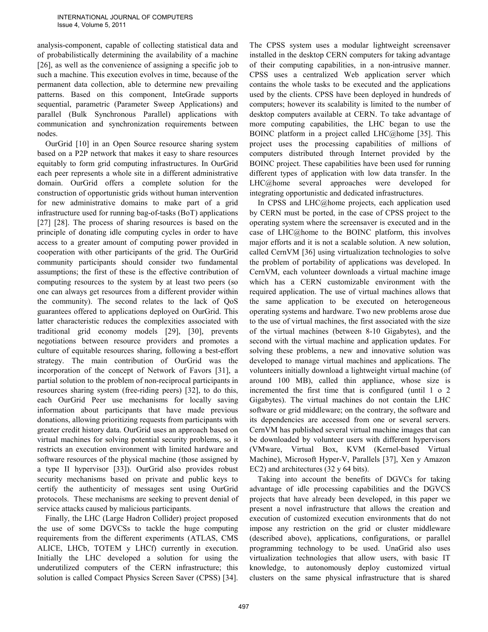analysis-component, capable of collecting statistical data and of probabilistically determining the availability of a machine [26], as well as the convenience of assigning a specific job to such a machine. This execution evolves in time, because of the permanent data collection, able to determine new prevailing patterns. Based on this component, InteGrade supports sequential, parametric (Parameter Sweep Applications) and parallel (Bulk Synchronous Parallel) applications with communication and synchronization requirements between nodes.

OurGrid [10] in an Open Source resource sharing system based on a P2P network that makes it easy to share resources equitably to form grid computing infrastructures. In OurGrid each peer represents a whole site in a different administrative domain. OurGrid offers a complete solution for the construction of opportunistic grids without human intervention for new administrative domains to make part of a grid infrastructure used for running bag-of-tasks (BoT) applications [27] [28]. The process of sharing resources is based on the principle of donating idle computing cycles in order to have access to a greater amount of computing power provided in cooperation with other participants of the grid. The OurGrid community participants should consider two fundamental assumptions; the first of these is the effective contribution of computing resources to the system by at least two peers (so one can always get resources from a different provider within the community). The second relates to the lack of QoS guarantees offered to applications deployed on OurGrid. This latter characteristic reduces the complexities associated with traditional grid economy models [29], [30], prevents negotiations between resource providers and promotes a culture of equitable resources sharing, following a best-effort strategy. The main contribution of OurGrid was the incorporation of the concept of Network of Favors [31], a partial solution to the problem of non-reciprocal participants in resources sharing system (free-riding peers) [32], to do this, each OurGrid Peer use mechanisms for locally saving information about participants that have made previous donations, allowing prioritizing requests from participants with greater credit history data. OurGrid uses an approach based on virtual machines for solving potential security problems, so it restricts an execution environment with limited hardware and software resources of the physical machine (those assigned by a type II hypervisor [33]). OurGrid also provides robust security mechanisms based on private and public keys to certify the authenticity of messages sent using OurGrid protocols. These mechanisms are seeking to prevent denial of service attacks caused by malicious participants.

Finally, the LHC (Large Hadron Collider) project proposed the use of some DGVCSs to tackle the huge computing requirements from the different experiments (ATLAS, CMS ALICE, LHCb, TOTEM y LHCf) currently in execution. Initially the LHC developed a solution for using the underutilized computers of the CERN infrastructure; this solution is called Compact Physics Screen Saver (CPSS) [34].

The CPSS system uses a modular lightweight screensaver installed in the desktop CERN computers for taking advantage of their computing capabilities, in a non-intrusive manner. CPSS uses a centralized Web application server which contains the whole tasks to be executed and the applications used by the clients. CPSS have been deployed in hundreds of computers; however its scalability is limited to the number of desktop computers available at CERN. To take advantage of more computing capabilities, the LHC began to use the BOINC platform in a project called LHC@home [35]. This project uses the processing capabilities of millions of computers distributed through Internet provided by the BOINC project. These capabilities have been used for running different types of application with low data transfer. In the LHC@home several approaches were developed for integrating opportunistic and dedicated infrastructures.

In CPSS and LHC@home projects, each application used by CERN must be ported, in the case of CPSS project to the operating system where the screensaver is executed and in the case of LHC@home to the BOINC platform, this involves major efforts and it is not a scalable solution. A new solution, called CernVM [36] using virtualization technologies to solve the problem of portability of applications was developed. In CernVM, each volunteer downloads a virtual machine image which has a CERN customizable environment with the required application. The use of virtual machines allows that the same application to be executed on heterogeneous operating systems and hardware. Two new problems arose due to the use of virtual machines, the first associated with the size of the virtual machines (between 8-10 Gigabytes), and the second with the virtual machine and application updates. For solving these problems, a new and innovative solution was developed to manage virtual machines and applications. The volunteers initially download a lightweight virtual machine (of around 100 MB), called thin appliance, whose size is incremented the first time that is configured (until 1 o 2 Gigabytes). The virtual machines do not contain the LHC software or grid middleware; on the contrary, the software and its dependencies are accessed from one or several servers. CernVM has published several virtual machine images that can be downloaded by volunteer users with different hypervisors (VMware, Virtual Box, KVM (Kernel-based Virtual Machine), Microsoft Hyper-V, Parallels [37], Xen y Amazon EC2) and architectures (32 y 64 bits).

Taking into account the benefits of DGVCs for taking advantage of idle processing capabilities and the DGVCS projects that have already been developed, in this paper we present a novel infrastructure that allows the creation and execution of customized execution environments that do not impose any restriction on the grid or cluster middleware (described above), applications, configurations, or parallel programming technology to be used. UnaGrid also uses virtualization technologies that allow users, with basic IT knowledge, to autonomously deploy customized virtual clusters on the same physical infrastructure that is shared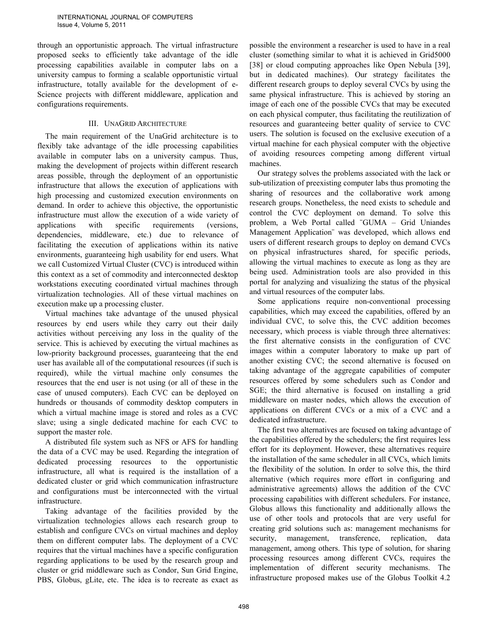through an opportunistic approach. The virtual infrastructure proposed seeks to efficiently take advantage of the idle processing capabilities available in computer labs on a university campus to forming a scalable opportunistic virtual infrastructure, totally available for the development of e-Science projects with different middleware, application and configurations requirements.

# III. UNAGRID ARCHITECTURE

The main requirement of the UnaGrid architecture is to flexibly take advantage of the idle processing capabilities available in computer labs on a university campus. Thus, making the development of projects within different research areas possible, through the deployment of an opportunistic infrastructure that allows the execution of applications with high processing and customized execution environments on demand. In order to achieve this objective, the opportunistic infrastructure must allow the execution of a wide variety of applications with specific requirements (versions, dependencies, middleware, etc.) due to relevance of facilitating the execution of applications within its native environments, guaranteeing high usability for end users. What we call Customized Virtual Cluster (CVC) is introduced within this context as a set of commodity and interconnected desktop workstations executing coordinated virtual machines through virtualization technologies. All of these virtual machines on execution make up a processing cluster.

Virtual machines take advantage of the unused physical resources by end users while they carry out their daily activities without perceiving any loss in the quality of the service. This is achieved by executing the virtual machines as low-priority background processes, guaranteeing that the end user has available all of the computational resources (if such is required), while the virtual machine only consumes the resources that the end user is not using (or all of these in the case of unused computers). Each CVC can be deployed on hundreds or thousands of commodity desktop computers in which a virtual machine image is stored and roles as a CVC slave; using a single dedicated machine for each CVC to support the master role.

A distributed file system such as NFS or AFS for handling the data of a CVC may be used. Regarding the integration of dedicated processing resources to the opportunistic infrastructure, all what is required is the installation of a dedicated cluster or grid which communication infrastructure and configurations must be interconnected with the virtual infrastructure.

Taking advantage of the facilities provided by the virtualization technologies allows each research group to establish and configure CVCs on virtual machines and deploy them on different computer labs. The deployment of a CVC requires that the virtual machines have a specific configuration regarding applications to be used by the research group and cluster or grid middleware such as Condor, Sun Grid Engine, PBS, Globus, gLite, etc. The idea is to recreate as exact as possible the environment a researcher is used to have in a real cluster (something similar to what it is achieved in Grid5000 [38] or cloud computing approaches like Open Nebula [39], but in dedicated machines). Our strategy facilitates the different research groups to deploy several CVCs by using the same physical infrastructure. This is achieved by storing an image of each one of the possible CVCs that may be executed on each physical computer, thus facilitating the reutilization of resources and guaranteeing better quality of service to CVC users. The solution is focused on the exclusive execution of a virtual machine for each physical computer with the objective of avoiding resources competing among different virtual machines.

Our strategy solves the problems associated with the lack or sub-utilization of preexisting computer labs thus promoting the sharing of resources and the collaborative work among research groups. Nonetheless, the need exists to schedule and control the CVC deployment on demand. To solve this problem, a Web Portal called ¨GUMA – Grid Uniandes Management Application¨ was developed, which allows end users of different research groups to deploy on demand CVCs on physical infrastructures shared, for specific periods, allowing the virtual machines to execute as long as they are being used. Administration tools are also provided in this portal for analyzing and visualizing the status of the physical and virtual resources of the computer labs.

Some applications require non-conventional processing capabilities, which may exceed the capabilities, offered by an individual CVC, to solve this, the CVC addition becomes necessary, which process is viable through three alternatives: the first alternative consists in the configuration of CVC images within a computer laboratory to make up part of another existing CVC; the second alternative is focused on taking advantage of the aggregate capabilities of computer resources offered by some schedulers such as Condor and SGE; the third alternative is focused on installing a grid middleware on master nodes, which allows the execution of applications on different CVCs or a mix of a CVC and a dedicated infrastructure.

The first two alternatives are focused on taking advantage of the capabilities offered by the schedulers; the first requires less effort for its deployment. However, these alternatives require the installation of the same scheduler in all CVCs, which limits the flexibility of the solution. In order to solve this, the third alternative (which requires more effort in configuring and administrative agreements) allows the addition of the CVC processing capabilities with different schedulers. For instance, Globus allows this functionality and additionally allows the use of other tools and protocols that are very useful for creating grid solutions such as: management mechanisms for security, management, transference, replication, data management, among others. This type of solution, for sharing processing resources among different CVCs, requires the implementation of different security mechanisms. The infrastructure proposed makes use of the Globus Toolkit 4.2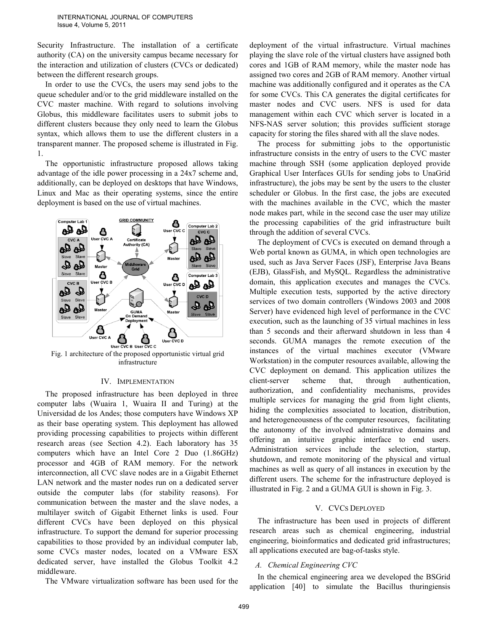Security Infrastructure. The installation of a certificate authority (CA) on the university campus became necessary for the interaction and utilization of clusters (CVCs or dedicated) between the different research groups.

In order to use the CVCs, the users may send jobs to the queue scheduler and/or to the grid middleware installed on the CVC master machine. With regard to solutions involving Globus, this middleware facilitates users to submit jobs to different clusters because they only need to learn the Globus syntax, which allows them to use the different clusters in a transparent manner. The proposed scheme is illustrated in Fig. 1.

The opportunistic infrastructure proposed allows taking advantage of the idle power processing in a 24x7 scheme and, additionally, can be deployed on desktops that have Windows, Linux and Mac as their operating systems, since the entire deployment is based on the use of virtual machines.



Fig. 1 architecture of the proposed opportunistic virtual grid infrastructure

## IV. IMPLEMENTATION

The proposed infrastructure has been deployed in three computer labs (Wuaira 1, Wuaira II and Turing) at the Universidad de los Andes; those computers have Windows XP as their base operating system. This deployment has allowed providing processing capabilities to projects within different research areas (see Section 4.2). Each laboratory has 35 computers which have an Intel Core 2 Duo (1.86GHz) processor and 4GB of RAM memory. For the network interconnection, all CVC slave nodes are in a Gigabit Ethernet LAN network and the master nodes run on a dedicated server outside the computer labs (for stability reasons). For communication between the master and the slave nodes, a multilayer switch of Gigabit Ethernet links is used. Four different CVCs have been deployed on this physical infrastructure. To support the demand for superior processing capabilities to those provided by an individual computer lab, some CVCs master nodes, located on a VMware ESX dedicated server, have installed the Globus Toolkit 4.2 middleware.

The VMware virtualization software has been used for the

deployment of the virtual infrastructure. Virtual machines playing the slave role of the virtual clusters have assigned both cores and 1GB of RAM memory, while the master node has assigned two cores and 2GB of RAM memory. Another virtual machine was additionally configured and it operates as the CA for some CVCs. This CA generates the digital certificates for master nodes and CVC users. NFS is used for data management within each CVC which server is located in a NFS-NAS server solution; this provides sufficient storage capacity for storing the files shared with all the slave nodes.

The process for submitting jobs to the opportunistic infrastructure consists in the entry of users to the CVC master machine through SSH (some application deployed provide Graphical User Interfaces GUIs for sending jobs to UnaGrid infrastructure), the jobs may be sent by the users to the cluster scheduler or Globus. In the first case, the jobs are executed with the machines available in the CVC, which the master node makes part, while in the second case the user may utilize the processing capabilities of the grid infrastructure built through the addition of several CVCs.

The deployment of CVCs is executed on demand through a Web portal known as GUMA, in which open technologies are used, such as Java Server Faces (JSF), Enterprise Java Beans (EJB), GlassFish, and MySQL. Regardless the administrative domain, this application executes and manages the CVCs. Multiple execution tests, supported by the active directory services of two domain controllers (Windows 2003 and 2008 Server) have evidenced high level of performance in the CVC execution, such as the launching of 35 virtual machines in less than 5 seconds and their afterward shutdown in less than 4 seconds. GUMA manages the remote execution of the instances of the virtual machines executor (VMware Workstation) in the computer resources available, allowing the CVC deployment on demand. This application utilizes the client-server scheme that, through authentication, authorization, and confidentiality mechanisms, provides multiple services for managing the grid from light clients, hiding the complexities associated to location, distribution, and heterogeneousness of the computer resources, facilitating the autonomy of the involved administrative domains and offering an intuitive graphic interface to end users. Administration services include the selection, startup, shutdown, and remote monitoring of the physical and virtual machines as well as query of all instances in execution by the different users. The scheme for the infrastructure deployed is illustrated in Fig. 2 and a GUMA GUI is shown in Fig. 3.

## V. CVCS DEPLOYED

The infrastructure has been used in projects of different research areas such as chemical engineering, industrial engineering, bioinformatics and dedicated grid infrastructures; all applications executed are bag-of-tasks style.

# *A. Chemical Engineering CVC*

In the chemical engineering area we developed the BSGrid application [40] to simulate the Bacillus thuringiensis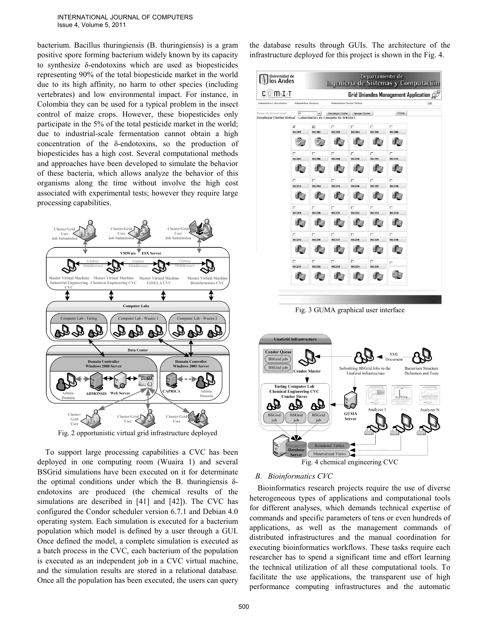INTERNATIONAL JOURNAL OF COMPUTERS Issue 4, Volume 5, 2011

bacterium. Bacillus thuringiensis (B. thuringiensis) is a gram positive spore forming bacterium widely known by its capacity to synthesize δ-endotoxins which are used as biopesticides representing 90% of the total biopesticide market in the world due to its high affinity, no harm to other species (including vertebrates) and low environmental impact. For instance, in Colombia they can be used for a typical problem in the insect control of maize crops. However, these biopesticides only participate in the 5% of the total pesticide market in the world; due to industrial-scale fermentation cannot obtain a high concentration of the δ-endotoxins, so the production of biopesticides has a high cost. Several computational methods and approaches have been developed to simulate the behavior of these bacteria, which allows analyze the behavior of this organisms along the time without involve the high cost associated with experimental tests; however they require large processing capabilities.



Fig. 2 opportunistic virtual grid infrastructure deployed

To support large processing capabilities a CVC has been deployed in one computing room (Wuaira 1) and several BSGrid simulations have been executed on it for determinate the optimal conditions under which the B. thuringiensis δendotoxins are produced (the chemical results of the simulations are described in [41] and [42]). The CVC has configured the Condor scheduler version 6.7.1 and Debian 4.0 operating system. Each simulation is executed for a bacterium population which model is defined by a user through a GUI. Once defined the model, a complete simulation is executed as a batch process in the CVC, each bacterium of the population is executed as an independent job in a CVC virtual machine, and the simulation results are stored in a relational database. Once all the population has been executed, the users can query the database results through GUIs. The architecture of the infrastructure deployed for this project is shown in the Fig. 4.



Fig. 3 GUMA graphical user interface



Fig. 4 chemical engineering CVC

# *B. Bioinformatics CVC*

Bioinformatics research projects require the use of diverse heterogeneous types of applications and computational tools for different analyses, which demands technical expertise of commands and specific parameters of tens or even hundreds of applications, as well as the management commands of distributed infrastructures and the manual coordination for executing bioinformatics workflows. These tasks require each researcher has to spend a significant time and effort learning the technical utilization of all these computational tools. To facilitate the use applications, the transparent use of high performance computing infrastructures and the automatic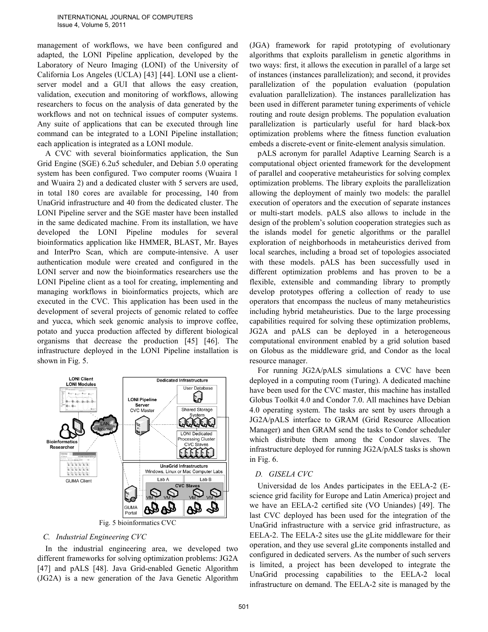management of workflows, we have been configured and adapted, the LONI Pipeline application, developed by the Laboratory of Neuro Imaging (LONI) of the University of California Los Angeles (UCLA) [43] [44]. LONI use a clientserver model and a GUI that allows the easy creation, validation, execution and monitoring of workflows, allowing researchers to focus on the analysis of data generated by the workflows and not on technical issues of computer systems. Any suite of applications that can be executed through line command can be integrated to a LONI Pipeline installation; each application is integrated as a LONI module.

A CVC with several bioinformatics application, the Sun Grid Engine (SGE) 6.2u5 scheduler, and Debian 5.0 operating system has been configured. Two computer rooms (Wuaira 1 and Wuaira 2) and a dedicated cluster with 5 servers are used, in total 180 cores are available for processing, 140 from UnaGrid infrastructure and 40 from the dedicated cluster. The LONI Pipeline server and the SGE master have been installed in the same dedicated machine. From its installation, we have developed the LONI Pipeline modules for several bioinformatics application like HMMER, BLAST, Mr. Bayes and InterPro Scan, which are compute-intensive. A user authentication module were created and configured in the LONI server and now the bioinformatics researchers use the LONI Pipeline client as a tool for creating, implementing and managing workflows in bioinformatics projects, which are executed in the CVC. This application has been used in the development of several projects of genomic related to coffee and yucca, which seek genomic analysis to improve coffee, potato and yucca production affected by different biological organisms that decrease the production [45] [46]. The infrastructure deployed in the LONI Pipeline installation is shown in Fig. 5.



Fig. 5 bioinformatics CVC

## *C. Industrial Engineering CVC*

In the industrial engineering area, we developed two different frameworks for solving optimization problems: JG2A [47] and pALS [48]. Java Grid-enabled Genetic Algorithm (JG2A) is a new generation of the Java Genetic Algorithm (JGA) framework for rapid prototyping of evolutionary algorithms that exploits parallelism in genetic algorithms in two ways: first, it allows the execution in parallel of a large set of instances (instances parallelization); and second, it provides parallelization of the population evaluation (population evaluation parallelization). The instances parallelization has been used in different parameter tuning experiments of vehicle routing and route design problems. The population evaluation parallelization is particularly useful for hard black-box optimization problems where the fitness function evaluation embeds a discrete-event or finite-element analysis simulation.

pALS acronym for parallel Adaptive Learning Search is a computational object oriented framework for the development of parallel and cooperative metaheuristics for solving complex optimization problems. The library exploits the parallelization allowing the deployment of mainly two models: the parallel execution of operators and the execution of separate instances or multi-start models. pALS also allows to include in the design of the problem's solution cooperation strategies such as the islands model for genetic algorithms or the parallel exploration of neighborhoods in metaheuristics derived from local searches, including a broad set of topologies associated with these models. pALS has been successfully used in different optimization problems and has proven to be a flexible, extensible and commanding library to promptly develop prototypes offering a collection of ready to use operators that encompass the nucleus of many metaheuristics including hybrid metaheuristics. Due to the large processing capabilities required for solving these optimization problems, JG2A and pALS can be deployed in a heterogeneous computational environment enabled by a grid solution based on Globus as the middleware grid, and Condor as the local resource manager.

For running JG2A/pALS simulations a CVC have been deployed in a computing room (Turing). A dedicated machine have been used for the CVC master, this machine has installed Globus Toolkit 4.0 and Condor 7.0. All machines have Debian 4.0 operating system. The tasks are sent by users through a JG2A/pALS interface to GRAM (Grid Resource Allocation Manager) and then GRAM send the tasks to Condor scheduler which distribute them among the Condor slaves. The infrastructure deployed for running JG2A/pALS tasks is shown in Fig. 6.

## *D. GISELA CVC*

Universidad de los Andes participates in the EELA-2 (Escience grid facility for Europe and Latin America) project and we have an EELA-2 certified site (VO Uniandes) [49]. The last CVC deployed has been used for the integration of the UnaGrid infrastructure with a service grid infrastructure, as EELA-2. The EELA-2 sites use the gLite middleware for their operation, and they use several gLite components installed and configured in dedicated servers. As the number of such servers is limited, a project has been developed to integrate the UnaGrid processing capabilities to the EELA-2 local infrastructure on demand. The EELA-2 site is managed by the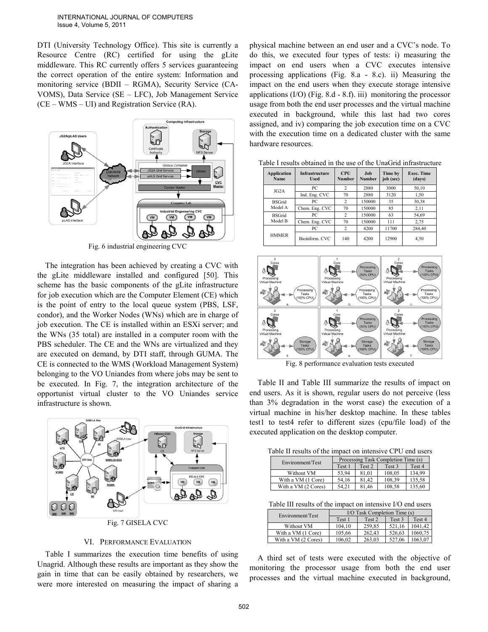DTI (University Technology Office). This site is currently a Resource Centre (RC) certified for using the gLite middleware. This RC currently offers 5 services guaranteeing the correct operation of the entire system: Information and monitoring service (BDII – RGMA), Security Service (CA-VOMS), Data Service (SE – LFC), Job Management Service (CE – WMS – UI) and Registration Service (RA).



Fig. 6 industrial engineering CVC

The integration has been achieved by creating a CVC with the gLite middleware installed and configured [50]. This scheme has the basic components of the gLite infrastructure for job execution which are the Computer Element (CE) which is the point of entry to the local queue system (PBS, LSF, condor), and the Worker Nodes (WNs) which are in charge of job execution. The CE is installed within an ESXi server; and the WNs (35 total) are installed in a computer room with the PBS scheduler. The CE and the WNs are virtualized and they are executed on demand, by DTI staff, through GUMA. The CE is connected to the WMS (Workload Management System) belonging to the VO Uniandes from where jobs may be sent to be executed. In Fig. 7, the integration architecture of the opportunist virtual cluster to the VO Uniandes service infrastructure is shown.



## VI. PERFORMANCE EVALUATION

Table I summarizes the execution time benefits of using Unagrid. Although these results are important as they show the gain in time that can be easily obtained by researchers, we were more interested on measuring the impact of sharing a physical machine between an end user and a CVC's node. To do this, we executed four types of tests: i) measuring the impact on end users when a CVC executes intensive processing applications (Fig. 8.a - 8.c). ii) Measuring the impact on the end users when they execute storage intensive applications  $(I/O)$  (Fig. 8.d - 8.f). iii) monitoring the processor usage from both the end user processes and the virtual machine executed in background, while this last had two cores assigned, and iv) comparing the job execution time on a CVC with the execution time on a dedicated cluster with the same hardware resources.

| Application<br>Name      | <b>Infrastructure</b><br><b>Used</b> | <b>CPU</b><br>Number | Job<br><b>Number</b> | Time by<br>job (sec) | Exec. Time<br>(days) |
|--------------------------|--------------------------------------|----------------------|----------------------|----------------------|----------------------|
| JG <sub>2</sub> A        | РC                                   | $\overline{c}$       | 2880                 | 3000                 | 50,10                |
|                          | Ind. Eng. CVC                        | 70                   | 2880                 | 3120                 | 1,50                 |
| <b>BSGrid</b><br>Model A | PC                                   | 2                    | 150000               | 35                   | 30,38                |
|                          | Chem. Eng. CVC                       | 70                   | 150000               | 85                   | 2,11                 |
| <b>BSGrid</b><br>Model B | PС                                   | 2                    | 150000               | 63                   | 54.69                |
|                          | Chem. Eng. CVC                       | 70                   | 150000               | 111                  | 2,75                 |
| <b>HMMER</b>             | РC                                   | $\overline{c}$       | 4200                 | 11700                | 284.40               |
|                          | Bioinform. CVC                       | 140                  | 4200                 | 12900                | 4,50                 |

Table I results obtained in the use of the UnaGrid infrastructure



Fig. 8 performance evaluation tests executed

Table II and Table III summarize the results of impact on end users. As it is shown, regular users do not perceive (less than 3% degradation in the worst case) the execution of a virtual machine in his/her desktop machine. In these tables test1 to test4 refer to different sizes (cpu/file load) of the executed application on the desktop computer.

| Table II results of the impact on intensive CPU end users |  |
|-----------------------------------------------------------|--|
|-----------------------------------------------------------|--|

| Environment/Test    | Processing Task Completion Time (s) |                   |        |        |  |
|---------------------|-------------------------------------|-------------------|--------|--------|--|
|                     | Test 1                              | Test <sub>2</sub> | Test 3 | Test 4 |  |
| Without VM          | 53.94                               | 81.01             | 108.05 | 134.99 |  |
| With a VM (1 Core)  | 54.16                               | 81.42             | 108.39 | 135.58 |  |
| With a VM (2 Cores) | 54.21                               | 81.46             | 108.58 | 135.60 |  |

Table III results of the impact on intensive I/O end users

| Environment/Test    | I/O Task Completion Time (s) |        |        |         |  |
|---------------------|------------------------------|--------|--------|---------|--|
|                     | Test 1                       | Test 2 | Test 3 | Test 4  |  |
| Without VM          | 104.10                       | 259.85 | 521.16 | 1041.42 |  |
| With a VM (1 Core)  | 105,66                       | 262.43 | 526.63 | 1060.75 |  |
| With a VM (2 Cores) | 106,02                       | 263.03 | 527.06 | 1063.07 |  |

A third set of tests were executed with the objective of monitoring the processor usage from both the end user processes and the virtual machine executed in background,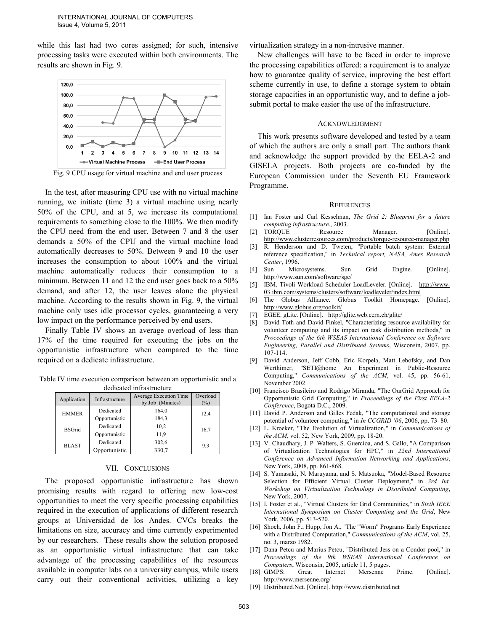while this last had two cores assigned; for such, intensive processing tasks were executed within both environments. The results are shown in Fig. 9.



Fig. 9 CPU usage for virtual machine and end user process

In the test, after measuring CPU use with no virtual machine running, we initiate (time 3) a virtual machine using nearly 50% of the CPU, and at 5, we increase its computational requirements to something close to the 100%. We then modify the CPU need from the end user. Between 7 and 8 the user demands a 50% of the CPU and the virtual machine load automatically decreases to 50%. Between 9 and 10 the user increases the consumption to about 100% and the virtual machine automatically reduces their consumption to a minimum. Between 11 and 12 the end user goes back to a 50% demand, and after 12, the user leaves alone the physical machine. According to the results shown in Fig. 9, the virtual machine only uses idle processor cycles, guaranteeing a very low impact on the performance perceived by end users.

Finally Table IV shows an average overload of less than 17% of the time required for executing the jobs on the opportunistic infrastructure when compared to the time required on a dedicate infrastructure.

Table IV time execution comparison between an opportunistic and a dedicated infrastructure

| acaicatca minasu actarc |                        |                                            |                    |  |  |
|-------------------------|------------------------|--------------------------------------------|--------------------|--|--|
| Application             | Infrastructure         | Average Execution Time<br>by Job (Minutes) | Overload<br>$(\%)$ |  |  |
| <b>HMMER</b>            | Dedicated              | 164,0                                      |                    |  |  |
|                         | 184,3<br>Opportunistic |                                            | 12,4               |  |  |
| <b>BSGrid</b>           | Dedicated              | 10,2                                       | 16,7               |  |  |
|                         | Opportunistic          | 11,9                                       |                    |  |  |
| <b>BLAST</b>            | Dedicated              | 302,6                                      | 9.3                |  |  |
|                         | Opportunistic          | 330,7                                      |                    |  |  |

## VII. CONCLUSIONS

The proposed opportunistic infrastructure has shown promising results with regard to offering new low-cost opportunities to meet the very specific processing capabilities required in the execution of applications of different research groups at Universidad de los Andes. CVCs breaks the limitations on size, accuracy and time currently experimented by our researchers. These results show the solution proposed as an opportunistic virtual infrastructure that can take advantage of the processing capabilities of the resources available in computer labs on a university campus, while users carry out their conventional activities, utilizing a key

virtualization strategy in a non-intrusive manner.

New challenges will have to be faced in order to improve the processing capabilities offered: a requirement is to analyze how to guarantee quality of service, improving the best effort scheme currently in use, to define a storage system to obtain storage capacities in an opportunistic way, and to define a jobsubmit portal to make easier the use of the infrastructure.

### ACKNOWLEDGMENT

This work presents software developed and tested by a team of which the authors are only a small part. The authors thank and acknowledge the support provided by the EELA-2 and GISELA projects. Both projects are co-funded by the European Commission under the Seventh EU Framework Programme.

### **REFERENCES**

- [1] Ian Foster and Carl Kesselman, *The Grid 2: Blueprint for a future computing infrastructure*., 2003.
- [2] TORQUE Resource Manager. [Online]. http://www.clusterresources.com/products/torque-resource-manager.php
- [3] R. Henderson and D. Tweten, "Portable batch system: External reference specification," in *Technical report, NASA, Ames Research Center*, 1996.
- [4] Sun Microsystems. Sun Grid Engine. [Online]. http://www.sun.com/software/sge/
- [5] IBM. Tivoli Workload Scheduler LoadLeveler. [Online]. http://www-03.ibm.com/systems/clusters/software/loadleveler/index.html<br>The Globus Alliance. Globus Toolkit Homepage.
- [6] The Globus Alliance. Globus Toolkit Homepage. [Online]. http://www.globus.org/toolkit/
- [7] EGEE. gLite. [Online]. http://glite.web.cern.ch/glite/
- [8] David Toth and David Finkel, "Characterizing resource availability for volunteer computing and its impact on task distribution methods," in *Proceedings of the 6th WSEAS International Conference on Software Engineering, Parallel and Distributed Systems*, Wisconsin, 2007, pp. 107-114.
- [9] David Anderson, Jeff Cobb, Eric Korpela, Matt Lebofsky, and Dan Werthimer, "SETI@home An Experiment in Public-Resource Computing," *Communications of the ACM*, vol. 45, pp. 56-61, November 2002.
- [10] Francisco Brasileiro and Rodrigo Miranda, "The OurGrid Approach for Opportunistic Grid Computing," in *Proceedings of the First EELA-2 Conference*, Bogotá D.C., 2009.
- [11] David P. Anderson and Gilles Fedak, "The computational and storage potential of volunteer computing," in *In CCGRID '06*, 2006, pp. 73–80.
- [12] L. Kroeker, "The Evolution of Virtualization," in *Communications of the ACM*, vol. 52, New York, 2009, pp. 18-20.
- [13] V. Chaudhary, J. P. Walters, S. Guercioa, and S. Gallo, "A Comparison of Virtualization Technologies for HPC," in *22nd International Conference on Advanced Information Networking and Applications*, New York, 2008, pp. 861-868.
- [14] S. Yamasaki, N. Maruyama, and S. Matsuoka, "Model-Based Resource Selection for Efficient Virtual Cluster Deployment," in 3rd Int. *Workshop on Virtualization Technology in Distributed Computing*, New York, 2007.
- [15] I. Foster et al., "Virtual Clusters for Grid Communities," in *Sixth IEEE International Symposium on Cluster Computing and the Grid*, New York, 2006, pp. 513-520.
- [16] Shoch, John F.; Hupp, Jon A., "The "Worm" Programs Early Experience with a Distributed Computation," *Communications of the ACM*, vol. 25, no. 3, marzo 1982.
- [17] Dana Petcu and Marius Petcu, "Distributed Jess on a Condor pool," in *Proceedings of the 9th WSEAS International Conference on Computers*, Wisconsin, 2005, article 11, 5 pages.
- [18] GIMPS: Great Internet Mersenne Prime. [Online]. http://www.mersenne.org/
- [19] Distributed.Net. [Online]. http://www.distributed.net